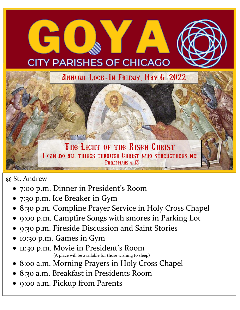## **CITY PARISHES OF CHICAGO**

Annual Lock-In Friday, May 6, 2022

**What TO Bring** 

**and What Indian Indian Indian Indian Indian Indian Indian Indian Indian Indian Indian Indian Indian Indian Indian Indian Indian Indian Indian Indian Indian Indian Indian Indian Indian Indian Indian Indian Indian Indian In** 

THE LIGHT OF THE RISEN CHRIST I can do all things through Christ who strengthens me!  $-$  Philippians 4:13

@ St. Andrew

2022

GO

- 7:00 p.m. Dinner in President's Room
- 7:30 p.m. Ice Breaker in Gym
- 8:30 p.m. Compline Prayer Service in Holy Cross Chapel
- 9:00 p.m. Campfire Songs with smores in Parking Lot
- 9:30 p.m. Fireside Discussion and Saint Stories
- 10:30 p.m. Games in Gym
- 11:30 p.m. Movie in President' s Room (A place will be available for those wishing to sleep)
- 8:00 a.m. Morning Prayers in Holy Cross Chapel
- 8:30 a.m. Breakfast in Presidents Room
- 9:00 a.m. Pickup from Parents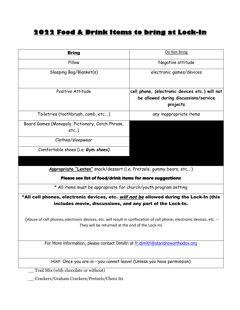## **2022 Food & Drink Items to bring at Lock-In**

| <b>Bring</b>                                                                                                                                                               | Do Not Bring                                                                                        |
|----------------------------------------------------------------------------------------------------------------------------------------------------------------------------|-----------------------------------------------------------------------------------------------------|
| Pillow                                                                                                                                                                     | Negative attitude                                                                                   |
| Sleeping Bag/Blanket(s)                                                                                                                                                    | electronic games/devices                                                                            |
| Positive Attitude                                                                                                                                                          | cell phone, (electronic devices etc.) will not<br>be allowed during discussions/service<br>projects |
| Toiletries (toothbrush, comb, etc)                                                                                                                                         | any inappropriate items                                                                             |
| Board Games (Monopoly, Pictionary, Catch Phrase,<br>$etc.$ )                                                                                                               |                                                                                                     |
| Clothes/sleepwear                                                                                                                                                          |                                                                                                     |
| Comfortable shoes (i.e. Gym shoes)                                                                                                                                         |                                                                                                     |
|                                                                                                                                                                            |                                                                                                     |
| Appropriate "Lenten" snack/dessert (i.e. Pretzels, gummy bears, etc)                                                                                                       |                                                                                                     |
| Please see list of food/drink items for more suggestions                                                                                                                   |                                                                                                     |
| * All items must be appropriate for church/youth program setting                                                                                                           |                                                                                                     |
| ^All cell phones, electronic devices, etc. <i>will not be</i> allowed during the Lock-In (this                                                                             |                                                                                                     |
| includes movie, discussions, and any part of the Lock-In.                                                                                                                  |                                                                                                     |
| (Abuse of cell phones, electronic devices, etc. will result in confiscation of cell phone, electronic devices, etc. --<br>They will be returned at the end of the Lock-In) |                                                                                                     |
| For More information, please contact Dimitri at fr.dimitri@standreworthodox.org                                                                                            |                                                                                                     |
|                                                                                                                                                                            |                                                                                                     |
| Hint: Once you are in - you cannot leave! (Unless you have permission)                                                                                                     |                                                                                                     |
| Trail Mix (with chocolate or without)                                                                                                                                      |                                                                                                     |

\_\_ Crackers/Graham Crackers/Pretzels/Cheez Its